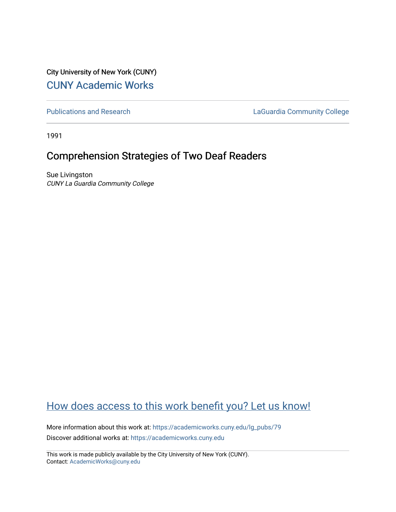City University of New York (CUNY) [CUNY Academic Works](https://academicworks.cuny.edu/) 

[Publications and Research](https://academicworks.cuny.edu/lg_pubs) **LaGuardia Community College** 

1991

# Comprehension Strategies of Two Deaf Readers

Sue Livingston CUNY La Guardia Community College

# [How does access to this work benefit you? Let us know!](http://ols.cuny.edu/academicworks/?ref=https://academicworks.cuny.edu/lg_pubs/79)

More information about this work at: [https://academicworks.cuny.edu/lg\\_pubs/79](https://academicworks.cuny.edu/lg_pubs/79)  Discover additional works at: [https://academicworks.cuny.edu](https://academicworks.cuny.edu/?)

This work is made publicly available by the City University of New York (CUNY). Contact: [AcademicWorks@cuny.edu](mailto:AcademicWorks@cuny.edu)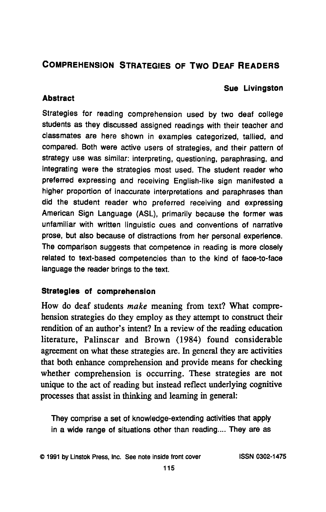# **COMPREHENSION STRATEGIES OF TWO DEAF READERS**

# **Sue Livingston**

# **Abstract**

Strategies for reading comprehension used **by** two deaf college students as they discussed assigned readings with their teacher and classmates are here shown in examples categorized, tallied, and compared. Both were active users of strategies, and their pattern of strategy use was similar: interpreting, questioning, paraphrasing, and integrating were the strategies most used. The student reader who preferred expressing and receiving English-like sign manifested a higher proportion of inaccurate interpretations and paraphrases than did the student reader who preferred receiving and expressing American Sign Language **(ASL),** primarily because the former was unfamiliar with written linguistic cues and conventions of narrative prose, but also because of distractions from her personal experience. The comparison suggests that competence in reading is more closely related to text-based competencies than to the kind of face-to-face language the reader brings to the text.

# **Strategies of comprehension**

How do deaf students make meaning from text? What comprehension strategies do they employ as they attempt to construct their rendition of an author's intent? In a review of the reading education literature, Palinscar and Brown (1984) found considerable agreement on what these strategies are. In general they are activities that both enhance comprehension and provide means for checking whether comprehension is occurring. These strategies are not unique to the act of reading but instead reflect underlying cognitive processes that assist in thinking and learning in general:

They comprise a set of knowledge-extending activities that apply in a wide range of situations other than reading.... They are as

@ **1991 by** Linstok Press, Inc. See note inside front cover **ISSN 0302-1475**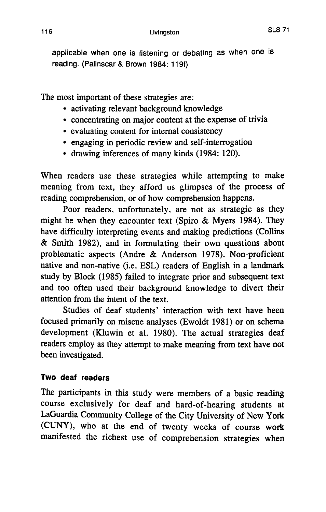applicable when one is listening or debating as when one is reading. (Palinscar **&** Brown 1984: **119f)**

The most important of these strategies are:

- \* activating relevant background knowledge
- \* concentrating on major content at the expense of trivia
- \* evaluating content for internal consistency
- \* engaging in periodic review and self-interrogation
- \* drawing inferences of many kinds (1984: 120).

When readers use these strategies while attempting to make meaning from text, they afford us glimpses of the process of reading comprehension, or of how comprehension happens.

Poor readers, unfortunately, are not as strategic as they might be when they encounter text (Spiro **&** Myers 1984). They have difficulty interpreting events and making predictions (Collins **&** Smith **1982),** and in formulating their own questions about problematic aspects (Andre **&** Anderson **1978).** Non-proficient native and non-native (i.e. **ESL)** readers of English in a landmark study **by** Block **(1985)** failed to integrate prior and subsequent text and too often used their background knowledge to divert their attention from the intent of the text.

Studies of deaf students' interaction with text have been focused primarily on miscue analyses (Ewoldt **1981)** or on schema development (Kluwin et al. **1980).** The actual strategies deaf readers employ as they attempt to make meaning from text have not been investigated.

# **Two deaf readers**

The participants in this study were members of a basic reading course exclusively for deaf and hard-of-hearing students at LaGuardia Community College of the City University of New York **(CUNY),** who at the end of twenty weeks of course work manifested the richest use of comprehension strategies when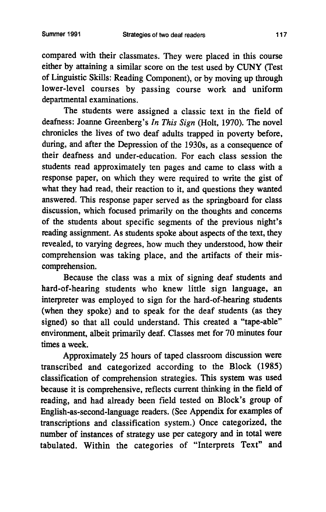compared with their classmates. They were placed in this course either **by** attaining a similar score on the test used **by CUNY** (Test of Linguistic Skills: Reading Component), or **by** moving up through lower-level courses **by** passing course work and uniform departmental examinations.

The students were assigned a classic text in the field of deafness: Joanne Greenberg's *In This Sign* (Holt, **1970).** The novel chronicles the lives of two deaf adults trapped in poverty before, during, and after the Depression of the 1930s, as a consequence of their deafness and under-education. For each class session the students read approximately ten pages and came to class with a response paper, on which they were required to write the gist of what they had read, their reaction to it, and questions they wanted answered. This response paper served as the springboard for class discussion, which focused primarily on the thoughts and concerns of the students about specific segments of the previous night's reading assignment. As students spoke about aspects of the text, they revealed, to varying degrees, how much they understood, how their comprehension was taking place, and the artifacts of their miscomprehension.

Because the class was a mix of signing deaf students and hard-of-hearing students who knew little sign language, an interpreter was employed to sign for the hard-of-hearing students (when they spoke) and to speak for the deaf students (as they signed) so that all could understand. This created a "tape-able" environment, albeit primarily deaf. Classes met for **70** minutes four times a week.

Approximately *25* hours of taped classroom discussion were transcribed and categorized according to the Block *(1985)* classification of comprehension strategies. This system was used because it is comprehensive, reflects current thinking in the field of reading, and had already been field tested on Block's group of English-as-second-language readers. (See Appendix for examples **of** transcriptions and classification system.) Once categorized, the number of instances of strategy use per category and in total were tabulated. Within the categories of "Interprets Text" and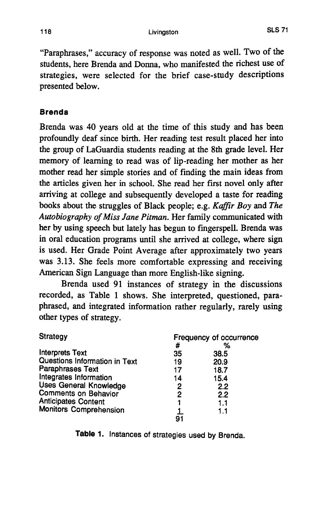"Paraphrases," accuracy of response was noted as well. Two **of** the students, here Brenda and Donna, who manifested the richest use of strategies, were selected for the brief case-study descriptions presented below.

# **Brenda**

Brenda was 40 years old at the time of this study and has been profoundly deaf since birth. Her reading test result placed her into the group of LaGuardia students reading at the 8th grade level. Her memory of learning to read was of lip-reading her mother as her mother read her simple stories and of finding the main ideas from the articles given her in school. She read her first novel only after arriving at college and subsequently developed a taste for reading books about the struggles of Black people; e.g. *Kaffir Boy and The Autobiography of Miss Jane Pitman.* Her family communicated with her **by** using speech but lately has begun to fingerspell. Brenda was in oral education programs until she arrived at college, where sign is used. Her Grade Point Average after approximately two years was **3.13.** She feels more comfortable expressing and receiving American Sign Language than more English-like signing.

Brenda used **91** instances of strategy in the discussions recorded, as Table **1** shows. She interpreted, questioned, paraphrased, and integrated information rather regularly, rarely using other types of strategy.

| <b>Strategy</b>               | Frequency of occurrence |      |  |
|-------------------------------|-------------------------|------|--|
|                               | #                       | %    |  |
| <b>Interprets Text</b>        | 35                      | 38.5 |  |
| Questions Information in Text | 19                      | 20.9 |  |
| Paraphrases Text              | 17                      | 18.7 |  |
| Integrates Information        | 14                      | 15.4 |  |
| <b>Uses General Knowledge</b> | 2                       | 2.2  |  |
| <b>Comments on Behavior</b>   | 2                       | 2.2  |  |
| <b>Anticipates Content</b>    |                         | 1.1  |  |
| <b>Monitors Comprehension</b> |                         | 1.1  |  |
|                               | 91                      |      |  |

**Table 1.** Instances of strategies used **by** Brenda.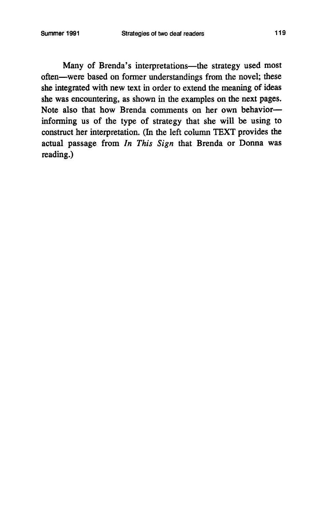Many of Brenda's interpretations-the strategy used most often-were based on former understandings from the novel; these she integrated with new text in order to extend the meaning **of** ideas she was encountering, as shown in the examples on the next pages. Note also that how Brenda comments on her own behaviorinforming us of the type of strategy that she will be using to construct her interpretation. (In the left column TEXT provides the actual passage from *In This Sign* that Brenda or Donna was reading.)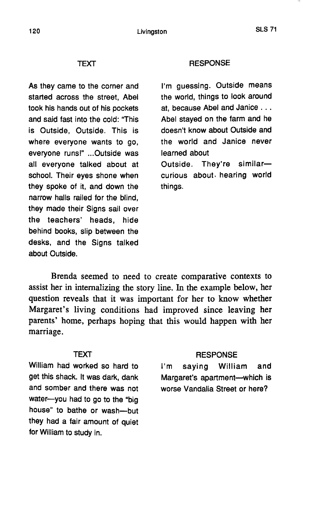### TEXT

As they came to the corner and started across the street, Abel took his hands out of his pockets and said fast into the cold: "This is Outside, Outside. This is where everyone wants to go, everyone runs!" ...Outside was all everyone talked about at school. Their eyes shone when they spoke of it, and down the narrow halls railed for the blind, they made their Signs sail over the teachers' heads, hide behind books, slip between the desks, and the Signs talked about Outside.

#### **RESPONSE**

I'm guessing. Outside means the world, things to look around at, because Abel and Janice **...** Abel stayed on the farm and he doesn't know about Outside and the world and Janice never learned about

Outside. They're similarcurious about, hearing world things.

Brenda seemed to need to create comparative contexts to assist her in internalizing the story line. In the example below, her question reveals that it was important for her to know whether Margaret's living conditions had improved since leaving her parents' home, perhaps hoping that this would happen with her marriage.

### TEXT

William had worked so hard to get this shack. It was dark, dank and somber and there was not water-you had to go to the "big house" to bathe or wash--but they had a fair amount of quiet for William to study in.

#### **RESPONSE**

I'm saying William and Margaret's apartment--which is worse Vandalia Street or here?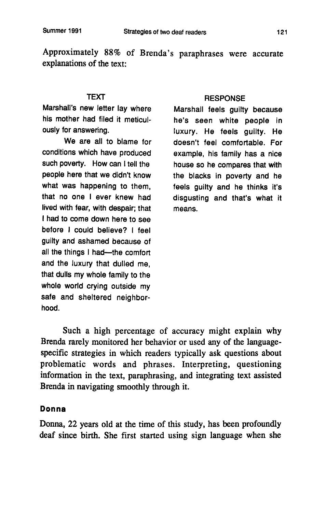Approximately **88%** of Brenda's paraphrases were accurate explanations of the text:

## **TEXT**

Marshall's new letter lay where his mother had filed it meticulously for answering.

We are all to blame for conditions which have produced such poverty. How can **I** tell the people here that we didn't know what was happening to them, that no one **I** ever knew had lived with fear, with despair; that **I** had to come down here to see before **I** could believe? **I** feel guilty and ashamed because of all the things I had-the comfort and the luxury that dulled me, that dulls my whole family to the whole world crying outside my safe and sheltered neighborhood.

### **RESPONSE**

Marshall feels guilty because he's seen white people in luxury. He feels guilty. He doesn't feel comfortable. For example, his family has a nice house so he compares that with the blacks in poverty and he feels guilty and he thinks it's disgusting and that's what it means.

Such a high percentage of accuracy might explain why Brenda rarely monitored her behavior or used any of the languagespecific strategies in which readers typically ask questions about problematic words and phrases. Interpreting, questioning information in the text, paraphrasing, and integrating text assisted Brenda in navigating smoothly through it.

## **Donna**

Donna, 22 years old at the time of this study, has been profoundly deaf since birth. She first started using sign language when she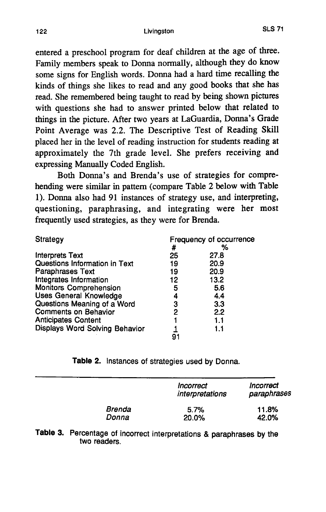entered a preschool program for deaf children at the age of three. Family members speak to Donna normally, although they do know some signs for English words. Donna had a hard time recalling the kinds of things she likes to read and any good books that she has read. She remembered being taught to read **by** being shown pictures with questions she had to answer printed below that related to things in the picture. After two years at LaGuardia, Donna's Grade Point Average was 2.2. The Descriptive Test of Reading Skill placed her in the level of reading instruction for students reading at approximately the 7th grade level. She prefers receiving and expressing Manually Coded English.

Both Donna's and Brenda's use of strategies for comprehending were similar in pattern (compare Table 2 below with Table **1).** Donna also had **91** instances of strategy use, and interpreting, questioning, paraphrasing, and integrating were her most frequently used strategies, as they were for Brenda.

| Strategy                       | Frequency of occurrence |      |
|--------------------------------|-------------------------|------|
|                                | #                       | %    |
| <b>Interprets Text</b>         | 25                      | 27.8 |
| Questions Information in Text  | 19                      | 20.9 |
| Paraphrases Text               | 19                      | 20.9 |
| Integrates Information         | 12                      | 13.2 |
| <b>Monitors Comprehension</b>  | 5                       | 5.6  |
| <b>Uses General Knowledge</b>  | 4                       | 4.4  |
| Questions Meaning of a Word    | 3                       | 3.3  |
| <b>Comments on Behavior</b>    | 2                       | 2.2  |
| <b>Anticipates Content</b>     |                         | 1.1  |
| Displays Word Solving Behavior |                         | 1.1  |
|                                | 91                      |      |

Table 2. Instances of strategies used **by** Donna.

|               | Incorrect<br>interpretations | Incorrect<br>paraphrases |
|---------------|------------------------------|--------------------------|
| <b>Brenda</b> | 5.7%                         | 11.8%                    |
| Donna         | 20.0%                        | 42.0%                    |

**Table 3.** Percentage of incorrect interpretations **&** paraphrases **by** the two readers.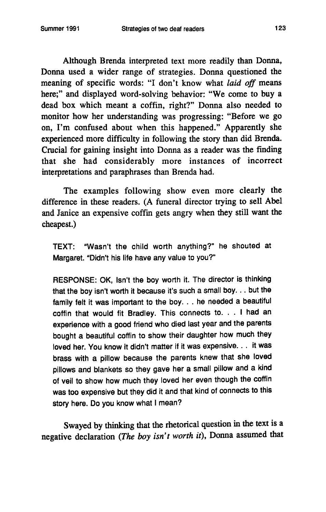Although Brenda interpreted text more readily than Donna, Donna used a wider range of strategies. Donna questioned the meaning of specific words: "I don't know what *laid off* means here;" and displayed word-solving behavior: "We come to buy a dead box which meant a coffin, right?" Donna also needed to monitor how her understanding was progressing: "Before we go on, I'm confused about when this happened." Apparently she experienced more difficulty in following the story than did Brenda. Crucial for gaining insight into Donna as a reader was the finding that she had considerably more instances of incorrect interpretations and paraphrases than Brenda had.

The examples following show even more clearly the difference in these readers. **(A** funeral director trying to sell Abel and Janice an expensive coffin gets angry when they still want the cheapest.)

TEXT: "Wasn't the child worth anything?" he shouted at Margaret. "Didn't his life have any value to you?"

**RESPONSE:** OK, Isn't the boy worth it. The director is thinking that the boy isn't worth it because it's such a small boy. . **.** but the family felt it was important to the boy. **..** he needed a beautiful coffin that would fit Bradley. This connects **to. . . I** had an experience with a good friend who died last year and the parents bought a beautiful coffin to show their daughter how much they loved her. You know it didn't matter if it was expensive. . **.** it was brass with a pillow because the parents knew that she loved pillows and blankets so they gave her a small pillow and a kind of veil to show how much they loved her even though the coffin was too expensive but they did it and that kind of connects to this story here. Do you know what **I** mean?

Swayed **by** thinking that the rhetorical question in the text is a negative declaration *(The boy isn't worth it),* Donna assumed that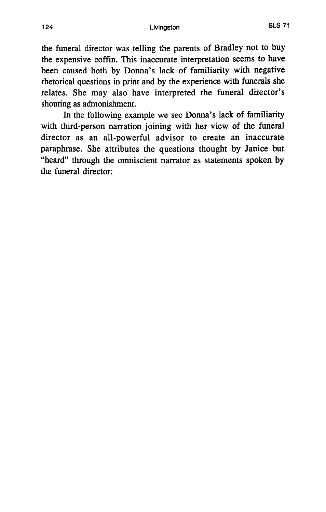the funeral director was telling the parents of Bradley not to buy the expensive coffin. This inaccurate interpretation seems to have been caused both **by** Donna's lack of familiarity with negative rhetorical questions in print and **by** the experience with funerals she relates. She may also have interpreted the funeral director's shouting as admonishment.

In the following example we see Donna's lack of familiarity with third-person narration joining with her view of the funeral director as an all-powerful advisor to create an inaccurate paraphrase. She attributes the questions thought **by** Janice but "heard" through the omniscient narrator as statements spoken **by** the funeral director: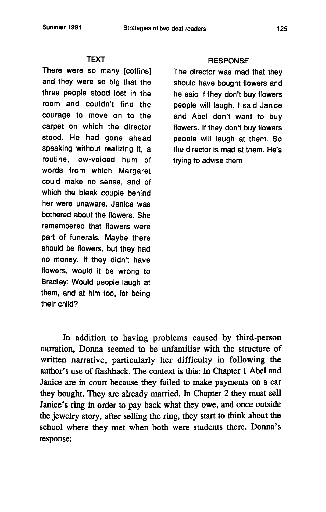#### **TEXT**

There were so many [coffins] and they were so big that the three people stood lost in the room and couldn't find the courage to move on to the carpet on which the director stood. He had gone ahead speaking without realizing it, a routine, low-voiced hum of words from which Margaret could make no sense, and of which the bleak couple behind her were unaware. Janice was bothered about the flowers. She remembered that flowers were part of funerals. Maybe there should be flowers, but they had no money. **If** they didn't have flowers, would it be wrong to Bradley: Would people laugh at them, and at him too, for being their child?

#### **RESPONSE**

The director was mad that they should have bought flowers and he said if they don't buy flowers people will laugh. **I** said Janice and Abel don't want to buy flowers. **If** they don't buy flowers people will laugh at them. So the director is mad at them. He's trying to advise them

In addition to having problems caused **by** third-person narration, Donna seemed to be unfamiliar with the structure of written narrative, particularly her difficulty in following the author's use of flashback. The context is this: In Chapter 1 Abel and Janice are in court because they failed to make payments on a car they bought. They are already married. In Chapter 2 they must sell Janice's ring in order to pay back what they owe, and once outside the jewelry story, after selling the ring, they start to think about the school where they met when both were students there. Donna's response: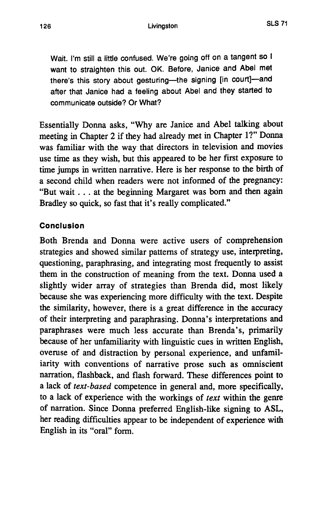Wait. I'm still a little confused. We're going off on a tangent so **I** want to straighten this out. OK. Before, Janice and Abel met there's this story about gesturing-the signing [in court]-and after that Janice had a feeling about Abel and they started to communicate outside? Or What?

Essentially Donna asks, "Why are Janice and Abel talking about meeting in Chapter 2 if they had already met in Chapter 1?" Donna was familiar with the way that directors in television and movies use time as they wish, but this appeared to be her first exposure to time jumps in written narrative. Here is her response to the birth of a second child when readers were not informed of the pregnancy: "But wait .. **.** at the beginning Margaret was born and then again Bradley so quick, so fast that it's really complicated."

# **Conclusion**

Both Brenda and Donna were active users of comprehension strategies and showed similar patterns of strategy use, interpreting, questioning, paraphrasing, and integrating most frequently to assist them in the construction of meaning from the text. Donna used a slightly wider array of strategies than Brenda did, most likely because she was experiencing more difficulty with the text. Despite the similarity, however, there is a great difference in the accuracy of their interpreting and paraphrasing. Donna's interpretations and paraphrases were much less accurate than Brenda's, primarily because of her unfamiliarity with linguistic cues in written English, overuse of and distraction **by** personal experience, and unfamiliarity with conventions of narrative prose such as omniscient narration, flashback, and flash forward. These differences point to a lack of *text-based* competence in general and, more specifically, to a lack of experience with the workings of *text* within the genre of narration. Since Donna preferred English-like signing to **ASL,** her reading difficulties appear to be independent of experience with English in its "oral" form.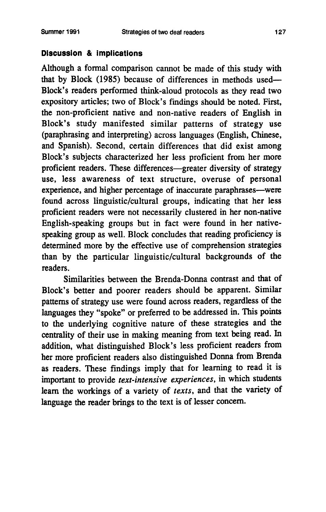## **Discussion & Implications**

Although a formal comparison cannot be made of this study with that **by** Block **(1985)** because of differences in methods used-Block's readers performed think-aloud protocols as they read two expository articles; two of Block's findings should be noted. First, the non-proficient native and non-native readers of English in Block's study manifested similar patterns of strategy use (paraphrasing and interpreting) across languages (English, Chinese, and Spanish). Second, certain differences that did exist among Block's subjects characterized her less proficient from her more proficient readers. These differences—greater diversity of strategy use, less awareness of text structure, overuse of personal experience, and higher percentage of inaccurate paraphrases-were found across linguistic/cultural groups, indicating that her less proficient readers were not necessarily clustered in her non-native English-speaking groups but in fact were found in her nativespeaking group as well. Block concludes that reading proficiency is determined more **by** the effective use of comprehension strategies than **by** the particular linguistic/cultural backgrounds of the readers.

Similarities between the Brenda-Donna contrast and that of Block's better and poorer readers should be apparent. Similar patterns of strategy use were found across readers, regardless of the languages they "spoke" or preferred to be addressed in. This points to the underlying cognitive nature of these strategies and the centrality of their use in making meaning from text being read. In addition, what distinguished Block's less proficient readers from her more proficient readers also distinguished Donna from Brenda as readers. These findings imply that for learning to read it is important to provide *text-intensive experiences,* in which students learn the workings of a variety of *texts,* and that the variety of language the reader brings to the text is of lesser concern.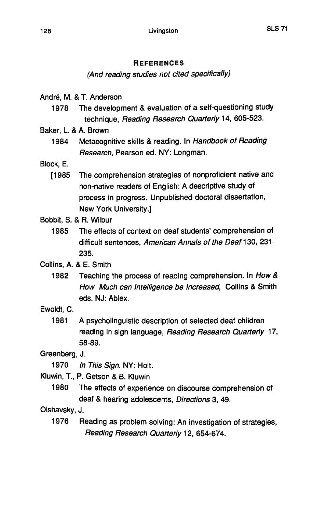## **REFERENCES**

# (And reading studies not cited specifically)

André, M. & T. Anderson

- **1978** The development **&** evaluation of a self-questioning study technique, Reading Research Quarterly 14, **605-523.**
- Baker, L. **& A.** Brown
	- 1984 Metacognitive skills **&** reading. In Handbook of Reading Research, Pearson ed. NY: Longman.
- Block, **E.**
	- **[1985** The comprehension strategies of nonproficient native and non-native readers of English: **A** descriptive study of process in progress. Unpublished doctoral dissertation, New York University.]
- Bobbit, **S. &** R. Wilbur
	- **1985** The effects of context on deaf students' comprehension of difficult sentences, American Annals of the Deaf **130, 231- 235.**
- Collins, **A. & E.** Smith
	- **1982** Teaching the process of reading comprehension. In How **&** How Much can Intelligence be Increased, Collins **&** Smith eds. **NJ:** Ablex.
- Ewoldt, **C.**
	- **1981 A** psycholinguistic description of selected deaf children reading in sign language, Reading Research Quarterly **17, 58-89.**

Greenberg, **J.**

- **1970** In This Sign. NY: Holt.
- Kluwin, T., P. Getson **&** B. Kluwin
	- **1980** The effects of experience on discourse comprehension of deaf **&** hearing adolescents, Directions **3,** 49.

Olshavsky, **J.**

**1976** Reading as problem solving: An investigation of strategies, Reading Research Quarterly 12, 654-674.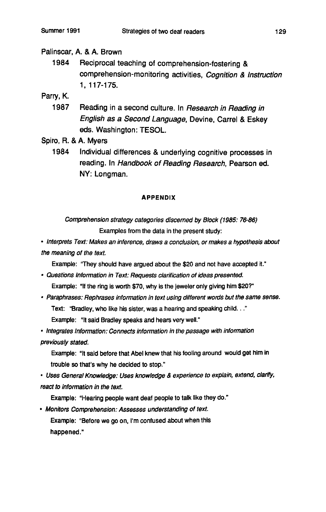## Palinscar, **A. & A.** Brown

1984 Reciprocal teaching of comprehension-fostering **&** comprehension-monitoring activities, Cognition **&** Instruction **1, 117-175.**

Parry, K.

**1987** Reading in a second culture. In Research in Reading in English as a Second Language, Devine, Carrel **&** Eskey eds. Washington: **TESOL.**

Spiro, R. **& A.** Myers

1984 Individual differences **&** underlying cognitive processes in reading. In Handbook of Reading Research, Pearson ed. NY: Longman.

#### **APPENDIX**

Comprehension strategy categories discerned **by** Block **(1985: 76-86)** Examples from the data in the present study:

\* Interprets Text: Makes an inference, draws a conclusion, or makes a hypothesis about the meaning of the text.

Example: 'They should have argued about the \$20 and not have accepted **it."**

- \* Questions Information in Text: Requests clarification of ideas presented. Example: **"If** the ring is worth **\$70,** why is the jeweler only giving him \$20?"
- \* Paraphrases: Rephrases information in text using different **words** but the same sense. Text: "Bradley, who like his sister, was a hearing and speaking child. .." Example: "It said Bradley speaks and hears very well."

\* Integrates Information: Connects information in the passage with information

previously stated.

Example: "It said before that Abel knew that his fooling around would get him in trouble so that's why he decided to stop."

\* Uses General Knowledge: Uses knowledge *&* experience to explain, extend, clarify, react to information in the text.

Example: "Hearing people want deaf people to talk like they **do."**

\* Monitors Comprehension: Assesses understanding **of** text. Example: "Before we go on, I'm confused about when this happened."